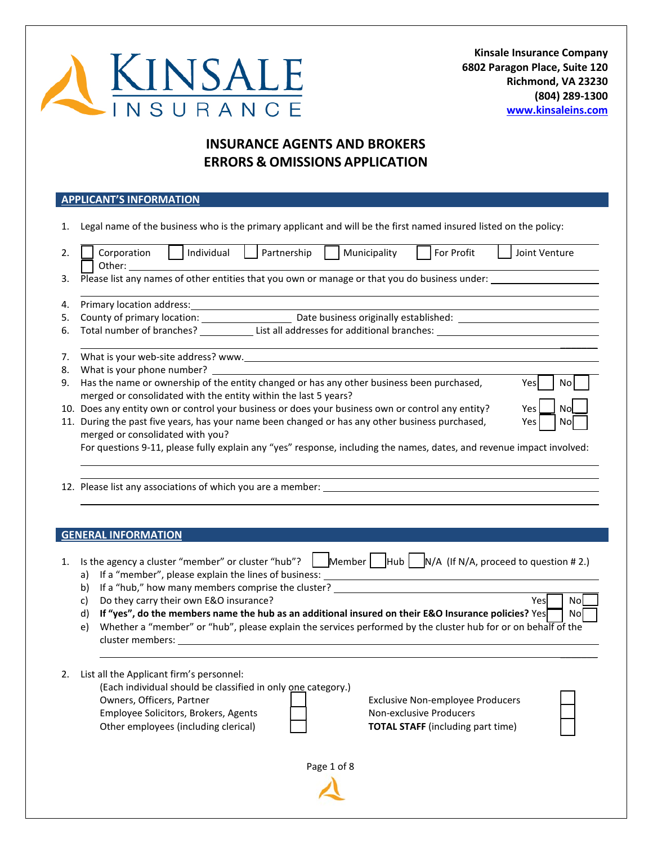

**Kinsale Insurance Company 6802 Paragon Place, Suite 120 Richmond, VA 23230 (804) 289-1300 [www.kinsaleins.com](http://www.kinsaleins.com/)**

# **INSURANCE AGENTS AND BROKERS ERRORS & OMISSIONS APPLICATION**

#### **APPLICANT'S INFORMATION**

1. Legal name of the business who is the primary applicant and will be the first named insured listed on the policy:

| 2.  | Individual<br>For Profit<br>Partnership<br>Municipality<br>Corporation<br>Joint Venture                                                                                    |
|-----|----------------------------------------------------------------------------------------------------------------------------------------------------------------------------|
|     | Other:                                                                                                                                                                     |
| 3.  | Please list any names of other entities that you own or manage or that you do business under:                                                                              |
|     |                                                                                                                                                                            |
| 4.  | Primary location address:                                                                                                                                                  |
| 5.  | Date business originally established:<br>County of primary location:                                                                                                       |
| 6.  | Total number of branches? List all addresses for additional branches:                                                                                                      |
| 7.  | What is your web-site address? www.                                                                                                                                        |
|     |                                                                                                                                                                            |
| 8.  | What is your phone number?                                                                                                                                                 |
| 9.  | Has the name or ownership of the entity changed or has any other business been purchased,<br>Yes<br>No.<br>merged or consolidated with the entity within the last 5 years? |
|     |                                                                                                                                                                            |
| 10. | Does any entity own or control your business or does your business own or control any entity?<br>Yes.<br>Nol                                                               |
|     | 11. During the past five years, has your name been changed or has any other business purchased,<br>Yes<br>Nol                                                              |

| merged or consolidated with you?                                                                                      | $\begin{bmatrix} 1 & 2 \\ 2 & 3 \end{bmatrix}$ |  |
|-----------------------------------------------------------------------------------------------------------------------|------------------------------------------------|--|
|                                                                                                                       |                                                |  |
| For questions 9-11, please fully explain any "yes" response, including the names, dates, and revenue impact involved: |                                                |  |

12. Please list any associations of which you are a member:

#### **GENERAL INFORMATION**

| 1. Is the agency a cluster "member" or cluster "hub"? Member Hub N/A (If N/A, proceed to question # 2.) |  |  |  |  |  |
|---------------------------------------------------------------------------------------------------------|--|--|--|--|--|
| a) If a "member", please explain the lines of business:                                                 |  |  |  |  |  |
| $\cdots$ $\cdots$                                                                                       |  |  |  |  |  |

- b) If a "hub," how many members comprise the cluster? \_\_\_\_\_\_\_\_\_\_\_\_\_\_\_\_\_\_\_\_\_\_\_\_\_\_
- c) Do they carry their own E&O insurance? No work and the set of the set of the set of the set of the set of the set of the set of the set of the set of the set of the set of the set of the set of the set of the set of the
- d) If "yes", do the members name the hub as an additional insured on their E&O Insurance policies? Yes No
- e) Whether a "member" or "hub", please explain the services performed by the cluster hub for or on behalf of the cluster members:
- 2. List all the Applicant firm's personnel:

(Each individual should be classified in only one category.) Owners, Officers, Partner Exclusive Non-employee Producers

Employee Solicitors, Brokers, Agents Non-exclusive Producers Other employees (including clerical) **TOTAL STAFF** (including part time)

 $\frac{1}{2}$ 

Page 1 of 8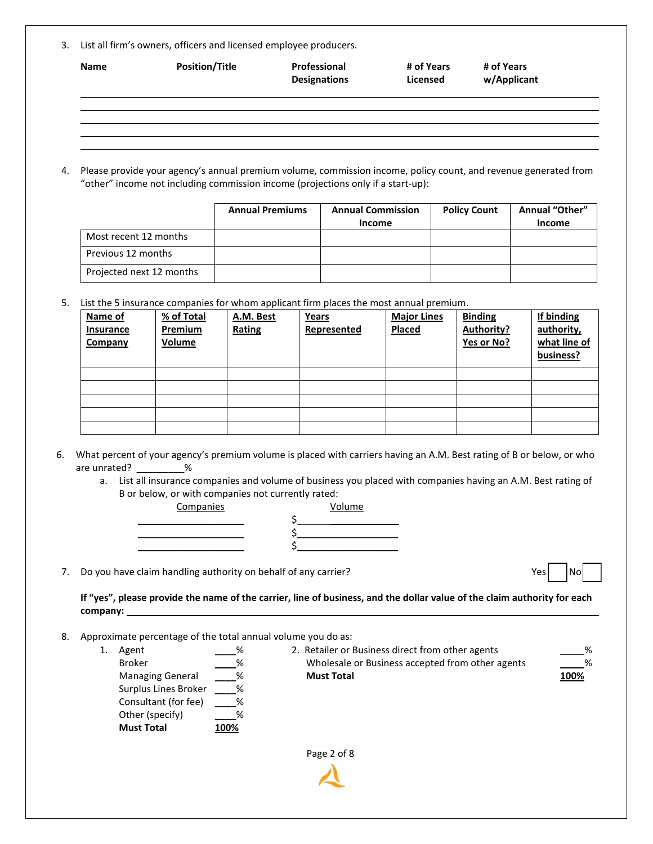3. List all firm's owners, officers and licensed employee producers.

| <b>Name</b> | <b>Position/Title</b> | Professional<br><b>Designations</b> | # of Years<br>Licensed | # of Years<br>w/Applicant |
|-------------|-----------------------|-------------------------------------|------------------------|---------------------------|
|             |                       |                                     |                        |                           |
|             |                       |                                     |                        |                           |
|             |                       |                                     |                        |                           |

4. Please provide your agency's annual premium volume, commission income, policy count, and revenue generated from "other" income not including commission income (projections only if a start-up):

|                          | <b>Annual Premiums</b> | <b>Annual Commission</b><br>Income | <b>Policy Count</b> | <b>Annual "Other"</b><br><b>Income</b> |
|--------------------------|------------------------|------------------------------------|---------------------|----------------------------------------|
| Most recent 12 months    |                        |                                    |                     |                                        |
| Previous 12 months       |                        |                                    |                     |                                        |
| Projected next 12 months |                        |                                    |                     |                                        |

5. List the 5 insurance companies for whom applicant firm places the most annual premium.

| Name of<br><b>Insurance</b><br>Company | % of Total<br><b>Premium</b><br><b>Volume</b> | A.M. Best<br>Rating | <b>Years</b><br>Represented | <b>Major Lines</b><br><b>Placed</b> | <b>Binding</b><br><b>Authority?</b><br>Yes or No? | If binding<br>authority,<br>what line of<br>business? |
|----------------------------------------|-----------------------------------------------|---------------------|-----------------------------|-------------------------------------|---------------------------------------------------|-------------------------------------------------------|
|                                        |                                               |                     |                             |                                     |                                                   |                                                       |
|                                        |                                               |                     |                             |                                     |                                                   |                                                       |
|                                        |                                               |                     |                             |                                     |                                                   |                                                       |
|                                        |                                               |                     |                             |                                     |                                                   |                                                       |
|                                        |                                               |                     |                             |                                     |                                                   |                                                       |

- 6. What percent of your agency's premium volume is placed with carriers having an A.M. Best rating of B or below, or who are unrated? \_\_\_\_\_\_\_\_\_%
	- a. List all insurance companies and volume of business you placed with companies having an A.M. Best rating of B or below, or with companies not currently rated:

Companies

| <u>Companies</u> | volume |
|------------------|--------|
|                  |        |
|                  |        |
|                  |        |
|                  |        |

7. Do you have claim handling authority on behalf of any carrier? The North Communisty of the North Communisty of No

**If "yes", please provide the name of the carrier, line of business, and the dollar value of the claim authority for each company:** 

- 8. Approximate percentage of the total annual volume you do as:
	- Page 2 of 8 1. Agent % Broker % 2. Retailer or Business direct from other agents %  $\overline{\phantom{a}}$ Managing General % Wholesale or Business accepted from other agents % \_\_\_\_% **Must Total 100%** Surplus Lines Broker  $\overline{\phantom{a}}$ Consultant (for fee) %  $\overline{\phantom{a}}$ Other (specify) %  $\overline{\phantom{a}}$ **Must Total** % **100%**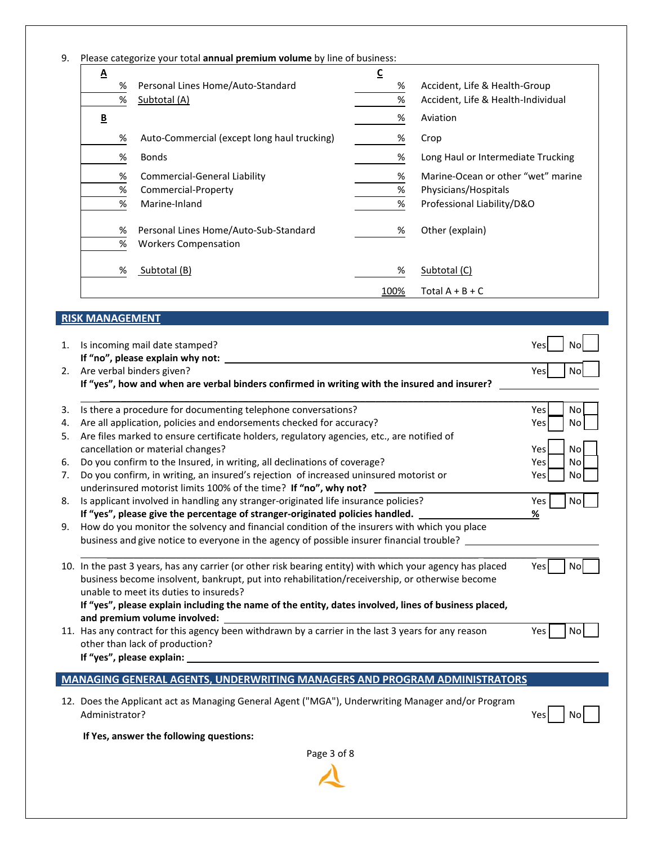|  | 9. Please categorize your total annual premium volume by line of business: |  |  |  |  |
|--|----------------------------------------------------------------------------|--|--|--|--|
|--|----------------------------------------------------------------------------|--|--|--|--|

| $\underline{\mathbf{A}}$ |                                                                                                                                                                               | $\underline{\mathsf{C}}$ |                                    |
|--------------------------|-------------------------------------------------------------------------------------------------------------------------------------------------------------------------------|--------------------------|------------------------------------|
| $\%$                     | Personal Lines Home/Auto-Standard                                                                                                                                             | %                        | Accident, Life & Health-Group      |
| $\%$                     | Subtotal (A)                                                                                                                                                                  | $\%$                     | Accident, Life & Health-Individual |
| $\underline{\mathsf{B}}$ |                                                                                                                                                                               | %                        | Aviation                           |
| %                        | Auto-Commercial (except long haul trucking)                                                                                                                                   | %                        | Crop                               |
| %                        | <b>Bonds</b>                                                                                                                                                                  | %                        | Long Haul or Intermediate Trucking |
| %                        | <b>Commercial-General Liability</b>                                                                                                                                           | %                        | Marine-Ocean or other "wet" marine |
| $\%$                     | Commercial-Property                                                                                                                                                           | $\%$                     | Physicians/Hospitals               |
| $\%$                     | Marine-Inland                                                                                                                                                                 | $\%$                     | Professional Liability/D&O         |
| %                        | Personal Lines Home/Auto-Sub-Standard                                                                                                                                         | %                        | Other (explain)                    |
| $\%$                     | <b>Workers Compensation</b>                                                                                                                                                   |                          |                                    |
| %                        | Subtotal (B)                                                                                                                                                                  | %                        | Subtotal (C)                       |
|                          |                                                                                                                                                                               | 100%                     | Total $A + B + C$                  |
|                          |                                                                                                                                                                               |                          |                                    |
|                          |                                                                                                                                                                               |                          |                                    |
| <b>RISK MANAGEMENT</b>   |                                                                                                                                                                               |                          |                                    |
|                          |                                                                                                                                                                               |                          | Yes                                |
|                          | 1. Is incoming mail date stamped?                                                                                                                                             |                          |                                    |
|                          | Are verbal binders given?                                                                                                                                                     |                          | Yes                                |
|                          | If "yes", how and when are verbal binders confirmed in writing with the insured and insurer?                                                                                  |                          |                                    |
|                          |                                                                                                                                                                               |                          | No<br><b>No</b><br>Yes<br>No       |
|                          | Is there a procedure for documenting telephone conversations?                                                                                                                 |                          | Yes                                |
|                          | Are all application, policies and endorsements checked for accuracy?<br>Are files marked to ensure certificate holders, regulatory agencies, etc., are notified of            |                          |                                    |
|                          | cancellation or material changes?                                                                                                                                             |                          | Yes                                |
|                          | Do you confirm to the Insured, in writing, all declinations of coverage?                                                                                                      |                          | Yes                                |
|                          | Do you confirm, in writing, an insured's rejection of increased uninsured motorist or                                                                                         |                          | Yes                                |
|                          | underinsured motorist limits 100% of the time? If "no", why not?                                                                                                              |                          | No<br>No<br>Nol<br>No              |
|                          | Is applicant involved in handling any stranger-originated life insurance policies?                                                                                            |                          | Yes                                |
|                          | If "yes", please give the percentage of stranger-originated policies handled.<br>How do you monitor the solvency and financial condition of the insurers with which you place |                          | No<br>$\frac{9}{6}$                |

| business become insolvent, bankrupt, put into rehabilitation/receivership, or otherwise become       |
|------------------------------------------------------------------------------------------------------|
| unable to meet its duties to insureds?                                                               |
| If "yes", please explain including the name of the entity, dates involved, lines of business placed, |
| and premium volume involved:                                                                         |

| 11. Has any contract for this agency been withdrawn by a carrier in the last 3 years for any reason | Yes | No l |
|-----------------------------------------------------------------------------------------------------|-----|------|
| other than lack of production?                                                                      |     |      |
| If "yes", please explain:                                                                           |     |      |

### **MANAGING GENERAL AGENTS, UNDERWRITING MANAGERS AND PROGRAM ADMINISTRATORS**

12. Does the Applicant act as Managing General Agent ("MGA"), Underwriting Manager and/or Program Administrator? Yes No

**If Yes, answer the following questions:**



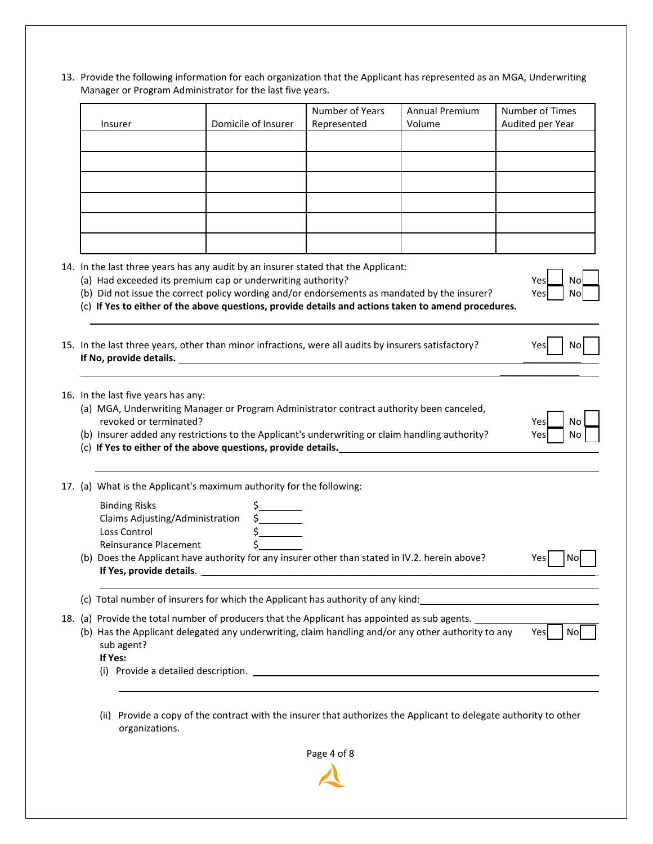13. Provide the following information for each organization that the Applicant has represented as an MGA, Underwriting Manager or Program Administrator for the last five years.

| Insurer                                                                 | Domicile of Insurer                                                                                                                                                                                                                                                                                                                                      | Number of Years<br>Represented | Annual Premium<br>Volume | Number of Times<br>Audited per Year |
|-------------------------------------------------------------------------|----------------------------------------------------------------------------------------------------------------------------------------------------------------------------------------------------------------------------------------------------------------------------------------------------------------------------------------------------------|--------------------------------|--------------------------|-------------------------------------|
|                                                                         |                                                                                                                                                                                                                                                                                                                                                          |                                |                          |                                     |
|                                                                         |                                                                                                                                                                                                                                                                                                                                                          |                                |                          |                                     |
|                                                                         |                                                                                                                                                                                                                                                                                                                                                          |                                |                          |                                     |
|                                                                         |                                                                                                                                                                                                                                                                                                                                                          |                                |                          |                                     |
|                                                                         |                                                                                                                                                                                                                                                                                                                                                          |                                |                          |                                     |
|                                                                         | 14. In the last three years has any audit by an insurer stated that the Applicant:<br>(a) Had exceeded its premium cap or underwriting authority?<br>(b) Did not issue the correct policy wording and/or endorsements as mandated by the insurer?<br>(c) If Yes to either of the above questions, provide details and actions taken to amend procedures. |                                |                          | Yes<br>No<br>Yes<br>No              |
|                                                                         | 15. In the last three years, other than minor infractions, were all audits by insurers satisfactory?                                                                                                                                                                                                                                                     |                                |                          | Yesl<br>No.                         |
|                                                                         |                                                                                                                                                                                                                                                                                                                                                          |                                |                          |                                     |
|                                                                         |                                                                                                                                                                                                                                                                                                                                                          |                                |                          |                                     |
| 16. In the last five years has any:                                     | (a) MGA, Underwriting Manager or Program Administrator contract authority been canceled,                                                                                                                                                                                                                                                                 |                                |                          |                                     |
| revoked or terminated?                                                  | (b) Insurer added any restrictions to the Applicant's underwriting or claim handling authority?                                                                                                                                                                                                                                                          |                                |                          | Yesl<br>No<br>No<br>Yes             |
|                                                                         | (c) If Yes to either of the above questions, provide details. The manuscription of the state of the state of the state of the state of the state of the state of the state of the state of the state of the state of the state                                                                                                                           |                                |                          |                                     |
|                                                                         | 17. (a) What is the Applicant's maximum authority for the following:                                                                                                                                                                                                                                                                                     |                                |                          |                                     |
| <b>Binding Risks</b><br>Claims Adjusting/Administration<br>Loss Control |                                                                                                                                                                                                                                                                                                                                                          |                                |                          |                                     |
| Reinsurance Placement                                                   | $\begin{array}{c}\n 5 \\ 5 \\ \hline\n 5 \\ \hline\n 5 \\ \hline\n 5\n \end{array}$<br>(b) Does the Applicant have authority for any insurer other than stated in IV.2. herein above?<br>If Yes, provide details. The manufacturer of the state of the state of the state of the state of the state of                                                   |                                |                          | Yes<br>Nol                          |
|                                                                         | (c) Total number of insurers for which the Applicant has authority of any kind: 100 minutes are also asset that                                                                                                                                                                                                                                          |                                |                          |                                     |

(ii) Provide a copy of the contract with the insurer that authorizes the Applicant to delegate authority to other organizations.

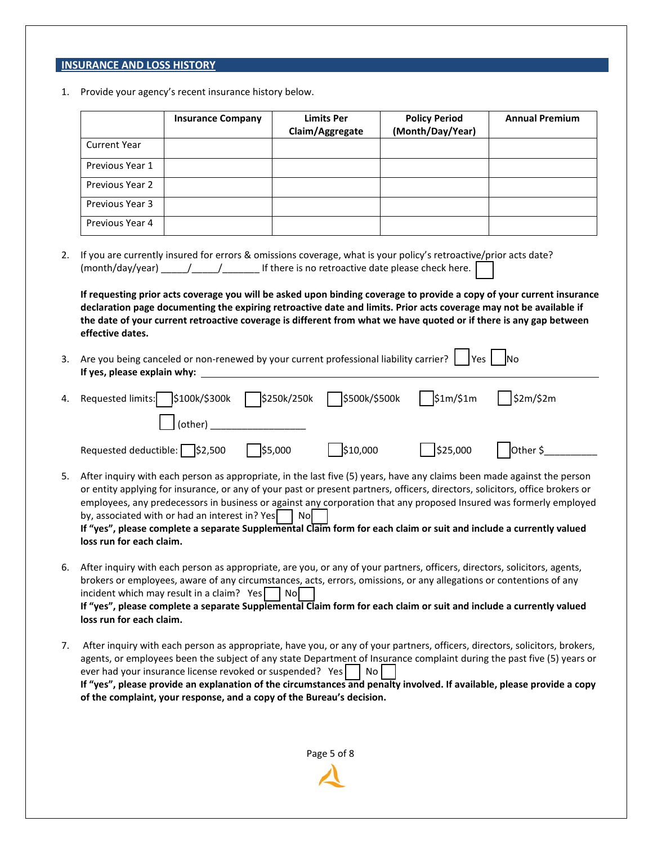## **INSURANCE AND LOSS HISTORY**

1. Provide your agency's recent insurance history below.

|    |                                 | <b>Insurance Company</b>                                                                                                           | <b>Limits Per</b><br>Claim/Aggregate | <b>Policy Period</b><br>(Month/Day/Year)                                                                                                                                                                                                                                                                                                                                                                                                                                                             | <b>Annual Premium</b> |
|----|---------------------------------|------------------------------------------------------------------------------------------------------------------------------------|--------------------------------------|------------------------------------------------------------------------------------------------------------------------------------------------------------------------------------------------------------------------------------------------------------------------------------------------------------------------------------------------------------------------------------------------------------------------------------------------------------------------------------------------------|-----------------------|
|    | <b>Current Year</b>             |                                                                                                                                    |                                      |                                                                                                                                                                                                                                                                                                                                                                                                                                                                                                      |                       |
|    | Previous Year 1                 |                                                                                                                                    |                                      |                                                                                                                                                                                                                                                                                                                                                                                                                                                                                                      |                       |
|    | Previous Year 2                 |                                                                                                                                    |                                      |                                                                                                                                                                                                                                                                                                                                                                                                                                                                                                      |                       |
|    | Previous Year 3                 |                                                                                                                                    |                                      |                                                                                                                                                                                                                                                                                                                                                                                                                                                                                                      |                       |
|    | Previous Year 4                 |                                                                                                                                    |                                      |                                                                                                                                                                                                                                                                                                                                                                                                                                                                                                      |                       |
|    |                                 |                                                                                                                                    |                                      | If you are currently insured for errors & omissions coverage, what is your policy's retroactive/prior acts date?                                                                                                                                                                                                                                                                                                                                                                                     |                       |
|    | effective dates.                |                                                                                                                                    |                                      | If requesting prior acts coverage you will be asked upon binding coverage to provide a copy of your current insurance<br>declaration page documenting the expiring retroactive date and limits. Prior acts coverage may not be available if<br>the date of your current retroactive coverage is different from what we have quoted or if there is any gap between                                                                                                                                    |                       |
| 3. | If yes, please explain why:     |                                                                                                                                    |                                      | Are you being canceled or non-renewed by your current professional liability carrier?    Yes    No                                                                                                                                                                                                                                                                                                                                                                                                   |                       |
|    | Requested limits: \$100k/\$300k |                                                                                                                                    | \$500k/\$500k<br>\$250k/250k         | $\frac{\sin(51m)}{2m}$                                                                                                                                                                                                                                                                                                                                                                                                                                                                               | \$2m/\$2m             |
|    |                                 | (other)                                                                                                                            |                                      |                                                                                                                                                                                                                                                                                                                                                                                                                                                                                                      |                       |
|    | Requested deductible: \S2,500   | $\frac{1}{55,000}$                                                                                                                 | \$10,000                             | \$25,000                                                                                                                                                                                                                                                                                                                                                                                                                                                                                             | Other \$              |
|    | loss run for each claim.        | by, associated with or had an interest in? Yes                                                                                     | $ $ No                               | After inquiry with each person as appropriate, in the last five (5) years, have any claims been made against the person<br>or entity applying for insurance, or any of your past or present partners, officers, directors, solicitors, office brokers or<br>employees, any predecessors in business or against any corporation that any proposed Insured was formerly employed<br>If "yes", please complete a separate Supplemental Claim form for each claim or suit and include a currently valued |                       |
|    | loss run for each claim.        | incident which may result in a claim? Yes No                                                                                       |                                      | After inquiry with each person as appropriate, are you, or any of your partners, officers, directors, solicitors, agents,<br>brokers or employees, aware of any circumstances, acts, errors, omissions, or any allegations or contentions of any<br>If "yes", please complete a separate Supplemental Claim form for each claim or suit and include a currently valued                                                                                                                               |                       |
|    |                                 | ever had your insurance license revoked or suspended? Yes<br>of the complaint, your response, and a copy of the Bureau's decision. | N <sub>o</sub>                       | After inquiry with each person as appropriate, have you, or any of your partners, officers, directors, solicitors, brokers,<br>agents, or employees been the subject of any state Department of Insurance complaint during the past five (5) years or<br>If "yes", please provide an explanation of the circumstances and penalty involved. If available, please provide a copy                                                                                                                      |                       |
|    |                                 |                                                                                                                                    | Page 5 of 8                          |                                                                                                                                                                                                                                                                                                                                                                                                                                                                                                      |                       |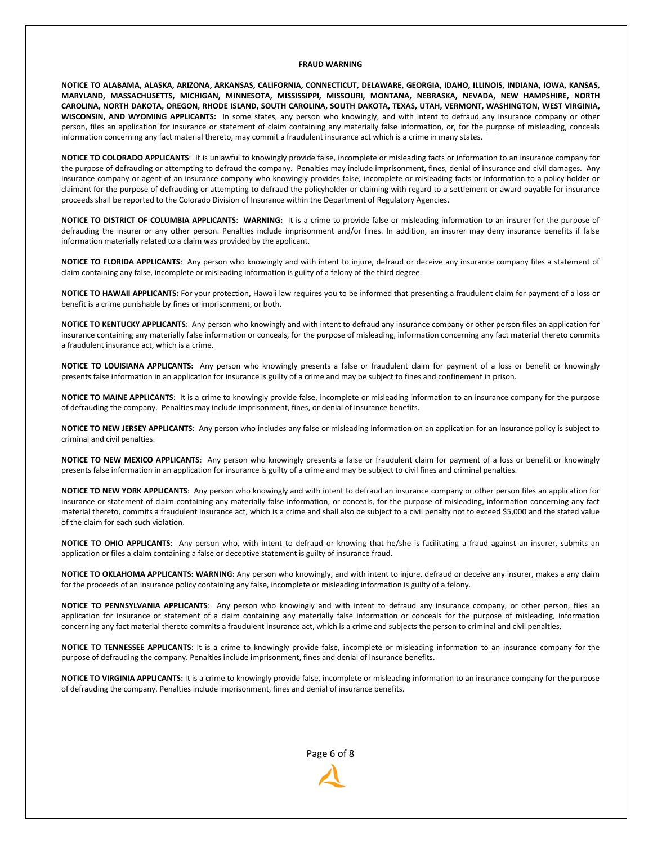#### **FRAUD WARNING**

**NOTICE TO ALABAMA, ALASKA, ARIZONA, ARKANSAS, CALIFORNIA, CONNECTICUT, DELAWARE, GEORGIA, IDAHO, ILLINOIS, INDIANA, IOWA, KANSAS, MARYLAND, MASSACHUSETTS, MICHIGAN, MINNESOTA, MISSISSIPPI, MISSOURI, MONTANA, NEBRASKA, NEVADA, NEW HAMPSHIRE, NORTH CAROLINA, NORTH DAKOTA, OREGON, RHODE ISLAND, SOUTH CAROLINA, SOUTH DAKOTA, TEXAS, UTAH, VERMONT, WASHINGTON, WEST VIRGINIA, WISCONSIN, AND WYOMING APPLICANTS:** In some states, any person who knowingly, and with intent to defraud any insurance company or other person, files an application for insurance or statement of claim containing any materially false information, or, for the purpose of misleading, conceals information concerning any fact material thereto, may commit a fraudulent insurance act which is a crime in many states.

**NOTICE TO COLORADO APPLICANTS**: It is unlawful to knowingly provide false, incomplete or misleading facts or information to an insurance company for the purpose of defrauding or attempting to defraud the company. Penalties may include imprisonment, fines, denial of insurance and civil damages. Any insurance company or agent of an insurance company who knowingly provides false, incomplete or misleading facts or information to a policy holder or claimant for the purpose of defrauding or attempting to defraud the policyholder or claiming with regard to a settlement or award payable for insurance proceeds shall be reported to the Colorado Division of Insurance within the Department of Regulatory Agencies.

**NOTICE TO DISTRICT OF COLUMBIA APPLICANTS**: **WARNING:** It is a crime to provide false or misleading information to an insurer for the purpose of defrauding the insurer or any other person. Penalties include imprisonment and/or fines. In addition, an insurer may deny insurance benefits if false information materially related to a claim was provided by the applicant.

**NOTICE TO FLORIDA APPLICANTS**: Any person who knowingly and with intent to injure, defraud or deceive any insurance company files a statement of claim containing any false, incomplete or misleading information is guilty of a felony of the third degree.

**NOTICE TO HAWAII APPLICANTS:** For your protection, Hawaii law requires you to be informed that presenting a fraudulent claim for payment of a loss or benefit is a crime punishable by fines or imprisonment, or both.

**NOTICE TO KENTUCKY APPLICANTS**: Any person who knowingly and with intent to defraud any insurance company or other person files an application for insurance containing any materially false information or conceals, for the purpose of misleading, information concerning any fact material thereto commits a fraudulent insurance act, which is a crime.

**NOTICE TO LOUISIANA APPLICANTS:** Any person who knowingly presents a false or fraudulent claim for payment of a loss or benefit or knowingly presents false information in an application for insurance is guilty of a crime and may be subject to fines and confinement in prison.

**NOTICE TO MAINE APPLICANTS**: It is a crime to knowingly provide false, incomplete or misleading information to an insurance company for the purpose of defrauding the company. Penalties may include imprisonment, fines, or denial of insurance benefits.

**NOTICE TO NEW JERSEY APPLICANTS**: Any person who includes any false or misleading information on an application for an insurance policy is subject to criminal and civil penalties.

**NOTICE TO NEW MEXICO APPLICANTS**: Any person who knowingly presents a false or fraudulent claim for payment of a loss or benefit or knowingly presents false information in an application for insurance is guilty of a crime and may be subject to civil fines and criminal penalties.

**NOTICE TO NEW YORK APPLICANTS**: Any person who knowingly and with intent to defraud an insurance company or other person files an application for insurance or statement of claim containing any materially false information, or conceals, for the purpose of misleading, information concerning any fact material thereto, commits a fraudulent insurance act, which is a crime and shall also be subject to a civil penalty not to exceed \$5,000 and the stated value of the claim for each such violation.

**NOTICE TO OHIO APPLICANTS**: Any person who, with intent to defraud or knowing that he/she is facilitating a fraud against an insurer, submits an application or files a claim containing a false or deceptive statement is guilty of insurance fraud.

**NOTICE TO OKLAHOMA APPLICANTS: WARNING:** Any person who knowingly, and with intent to injure, defraud or deceive any insurer, makes a any claim for the proceeds of an insurance policy containing any false, incomplete or misleading information is guilty of a felony.

**NOTICE TO PENNSYLVANIA APPLICANTS**: Any person who knowingly and with intent to defraud any insurance company, or other person, files an application for insurance or statement of a claim containing any materially false information or conceals for the purpose of misleading, information concerning any fact material thereto commits a fraudulent insurance act, which is a crime and subjects the person to criminal and civil penalties.

**NOTICE TO TENNESSEE APPLICANTS:** It is a crime to knowingly provide false, incomplete or misleading information to an insurance company for the purpose of defrauding the company. Penalties include imprisonment, fines and denial of insurance benefits.

**NOTICE TO VIRGINIA APPLICANTS:** It is a crime to knowingly provide false, incomplete or misleading information to an insurance company for the purpose of defrauding the company. Penalties include imprisonment, fines and denial of insurance benefits.

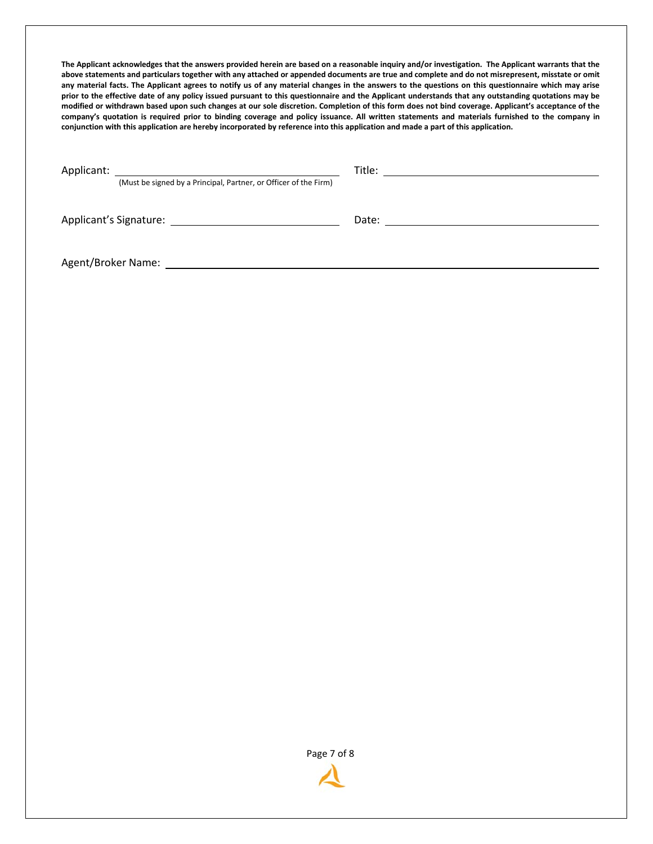**The Applicant acknowledges that the answers provided herein are based on a reasonable inquiry and/or investigation. The Applicant warrants that the above statements and particulars together with any attached or appended documents are true and complete and do not misrepresent, misstate or omit any material facts. The Applicant agrees to notify us of any material changes in the answers to the questions on this questionnaire which may arise prior to the effective date of any policy issued pursuant to this questionnaire and the Applicant understands that any outstanding quotations may be modified or withdrawn based upon such changes at our sole discretion. Completion of this form does not bind coverage. Applicant's acceptance of the company's quotation is required prior to binding coverage and policy issuance. All written statements and materials furnished to the company in conjunction with this application are hereby incorporated by reference into this application and made a part of this application.**

Applicant: Title:

(Must be signed by a Principal, Partner, or Officer of the Firm)

Applicant's Signature: 2008 2009 2010 2020 2021 2022 2023 2024 2022 2023 2024 2022 2023 2024 2022 2023 2024 20

Agent/Broker Name: